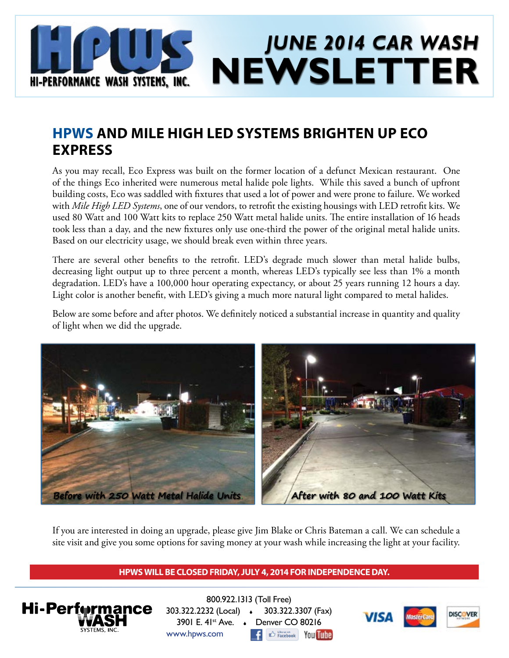

### **HPWS AND MILE HIGH LED SYSTEMS BRIGHTEN UP ECO EXPRESS**

As you may recall, Eco Express was built on the former location of a defunct Mexican restaurant. One of the things Eco inherited were numerous metal halide pole lights. While this saved a bunch of upfront building costs, Eco was saddled with fixtures that used a lot of power and were prone to failure. We worked with *Mile High LED Systems*, one of our vendors, to retrofit the existing housings with LED retrofit kits. We used 80 Watt and 100 Watt kits to replace 250 Watt metal halide units. The entire installation of 16 heads took less than a day, and the new fixtures only use one-third the power of the original metal halide units. Based on our electricity usage, we should break even within three years.

There are several other benefits to the retrofit. LED's degrade much slower than metal halide bulbs, decreasing light output up to three percent a month, whereas LED's typically see less than 1% a month degradation. LED's have a 100,000 hour operating expectancy, or about 25 years running 12 hours a day. Light color is another benefit, with LED's giving a much more natural light compared to metal halides.

Below are some before and after photos. We definitely noticed a substantial increase in quantity and quality of light when we did the upgrade.



If you are interested in doing an upgrade, please give Jim Blake or Chris Bateman a call. We can schedule a site visit and give you some options for saving money at your wash while increasing the light at your facility.

#### **HPWS WILL BE CLOSED FRIDAY, JULY 4, 2014 FOR INDEPENDENCE DAY.**



800.922.1313 (Toll Free) 303.322.2232 (Local) 303.322.3307 (Fax) 3901 E. 41<sup>st</sup> Ave. . Denver CO 80216 www.hpws.com **CO** Facebook You Tube